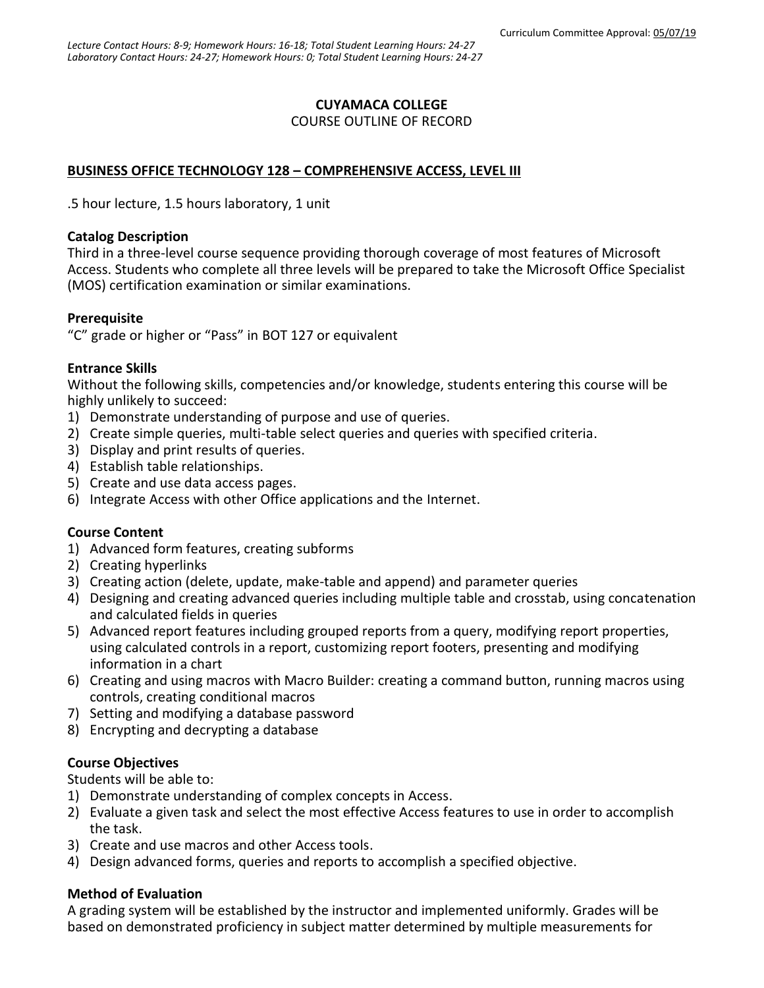# **CUYAMACA COLLEGE**

#### COURSE OUTLINE OF RECORD

## **BUSINESS OFFICE TECHNOLOGY 128 – COMPREHENSIVE ACCESS, LEVEL III**

.5 hour lecture, 1.5 hours laboratory, 1 unit

#### **Catalog Description**

Third in a three-level course sequence providing thorough coverage of most features of Microsoft Access. Students who complete all three levels will be prepared to take the Microsoft Office Specialist (MOS) certification examination or similar examinations.

## **Prerequisite**

"C" grade or higher or "Pass" in BOT 127 or equivalent

## **Entrance Skills**

Without the following skills, competencies and/or knowledge, students entering this course will be highly unlikely to succeed:

- 1) Demonstrate understanding of purpose and use of queries.
- 2) Create simple queries, multi-table select queries and queries with specified criteria.
- 3) Display and print results of queries.
- 4) Establish table relationships.
- 5) Create and use data access pages.
- 6) Integrate Access with other Office applications and the Internet.

## **Course Content**

- 1) Advanced form features, creating subforms
- 2) Creating hyperlinks
- 3) Creating action (delete, update, make-table and append) and parameter queries
- 4) Designing and creating advanced queries including multiple table and crosstab, using concatenation and calculated fields in queries
- 5) Advanced report features including grouped reports from a query, modifying report properties, using calculated controls in a report, customizing report footers, presenting and modifying information in a chart
- 6) Creating and using macros with Macro Builder: creating a command button, running macros using controls, creating conditional macros
- 7) Setting and modifying a database password
- 8) Encrypting and decrypting a database

## **Course Objectives**

Students will be able to:

- 1) Demonstrate understanding of complex concepts in Access.
- 2) Evaluate a given task and select the most effective Access features to use in order to accomplish the task.
- 3) Create and use macros and other Access tools.
- 4) Design advanced forms, queries and reports to accomplish a specified objective.

## **Method of Evaluation**

A grading system will be established by the instructor and implemented uniformly. Grades will be based on demonstrated proficiency in subject matter determined by multiple measurements for